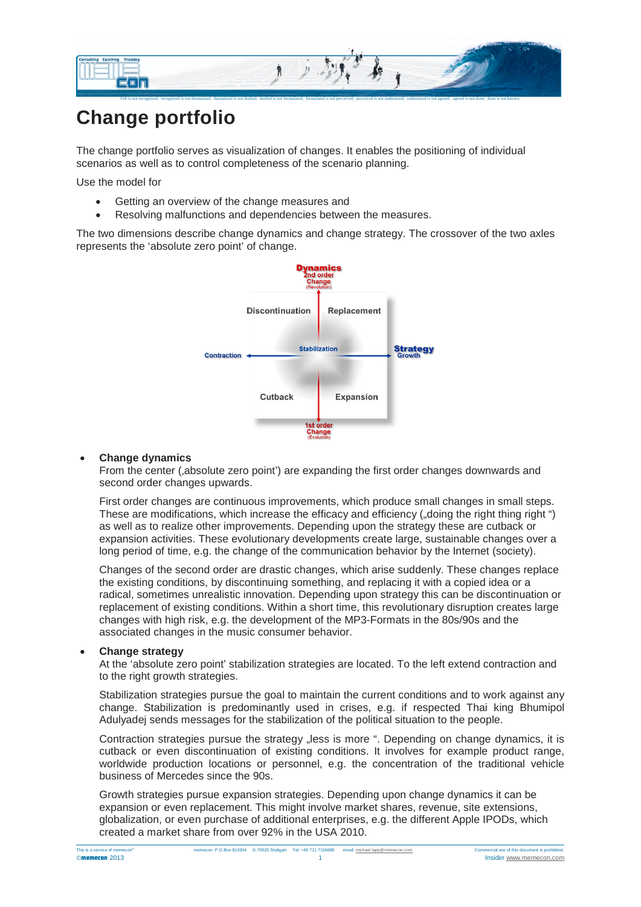

# **Change portfolio**

The change portfolio serves as visualization of changes. It enables the positioning of individual scenarios as well as to control completeness of the scenario planning.

Use the model for

- Getting an overview of the change measures and
- Resolving malfunctions and dependencies between the measures.

The two dimensions describe change dynamics and change strategy. The crossover of the two axles represents the 'absolute zero point' of change.



#### • **Change dynamics**

From the center ('absolute zero point') are expanding the first order changes downwards and second order changes upwards.

First order changes are continuous improvements, which produce small changes in small steps. These are modifications, which increase the efficacy and efficiency ("doing the right thing right") as well as to realize other improvements. Depending upon the strategy these are cutback or expansion activities. These evolutionary developments create large, sustainable changes over a long period of time, e.g. the change of the communication behavior by the Internet (society).

Changes of the second order are drastic changes, which arise suddenly. These changes replace the existing conditions, by discontinuing something, and replacing it with a copied idea or a radical, sometimes unrealistic innovation. Depending upon strategy this can be discontinuation or replacement of existing conditions. Within a short time, this revolutionary disruption creates large changes with high risk, e.g. the development of the MP3-Formats in the 80s/90s and the associated changes in the music consumer behavior.

## • **Change strategy**

At the 'absolute zero point' stabilization strategies are located. To the left extend contraction and to the right growth strategies.

Stabilization strategies pursue the goal to maintain the current conditions and to work against any change. Stabilization is predominantly used in crises, e.g. if respected Thai king Bhumipol Adulyadej sends messages for the stabilization of the political situation to the people.

Contraction strategies pursue the strategy "less is more ". Depending on change dynamics, it is cutback or even discontinuation of existing conditions. It involves for example product range, worldwide production locations or personnel, e.g. the concentration of the traditional vehicle business of Mercedes since the 90s.

Growth strategies pursue expansion strategies. Depending upon change dynamics it can be expansion or even replacement. This might involve market shares, revenue, site extensions, globalization, or even purchase of additional enterprises, e.g. the different Apple IPODs, which created a market share from over 92% in the USA 2010.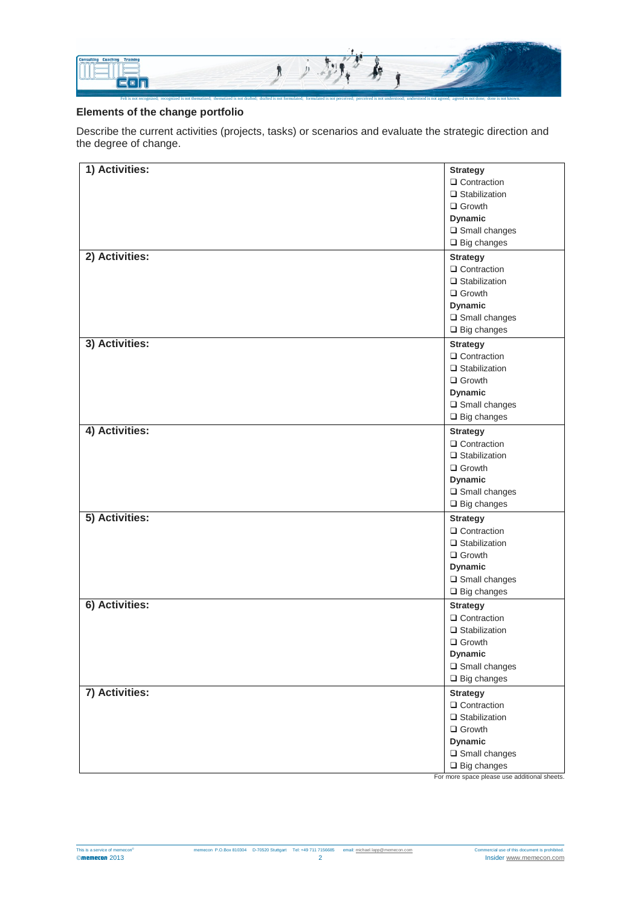

## **Elements of the change portfolio**

Describe the current activities (projects, tasks) or scenarios and evaluate the strategic direction and the degree of change.

| 1) Activities: | <b>Strategy</b>                              |
|----------------|----------------------------------------------|
|                | □ Contraction                                |
|                | $\Box$ Stabilization                         |
|                | $\Box$ Growth                                |
|                | <b>Dynamic</b>                               |
|                | $\square$ Small changes                      |
|                | $\Box$ Big changes                           |
| 2) Activities: | <b>Strategy</b>                              |
|                | $\Box$ Contraction                           |
|                | $\Box$ Stabilization                         |
|                | $\Box$ Growth                                |
|                | <b>Dynamic</b>                               |
|                | $\square$ Small changes                      |
|                | $\Box$ Big changes                           |
|                |                                              |
| 3) Activities: | <b>Strategy</b>                              |
|                | $\Box$ Contraction                           |
|                | $\Box$ Stabilization                         |
|                | $\Box$ Growth                                |
|                | <b>Dynamic</b>                               |
|                | $\square$ Small changes                      |
|                | $\Box$ Big changes                           |
| 4) Activities: | <b>Strategy</b>                              |
|                | □ Contraction                                |
|                | $\Box$ Stabilization                         |
|                | $\Box$ Growth                                |
|                | <b>Dynamic</b>                               |
|                | $\square$ Small changes                      |
|                | $\square$ Big changes                        |
| 5) Activities: | <b>Strategy</b>                              |
|                | $\Box$ Contraction                           |
|                | $\Box$ Stabilization                         |
|                | $\Box$ Growth                                |
|                | <b>Dynamic</b>                               |
|                | $\square$ Small changes                      |
|                | $\square$ Big changes                        |
| 6) Activities: |                                              |
|                | <b>Strategy</b>                              |
|                | □ Contraction                                |
|                | $\Box$ Stabilization                         |
|                | $\Box$ Growth                                |
|                | <b>Dynamic</b>                               |
|                | $\square$ Small changes                      |
|                | $\square$ Big changes                        |
| 7) Activities: | <b>Strategy</b>                              |
|                | $\Box$ Contraction                           |
|                | $\Box$ Stabilization                         |
|                | $\Box$ Growth                                |
|                | <b>Dynamic</b>                               |
|                | $\square$ Small changes                      |
|                | $\Box$ Big changes                           |
|                | For more space please use additional sheets. |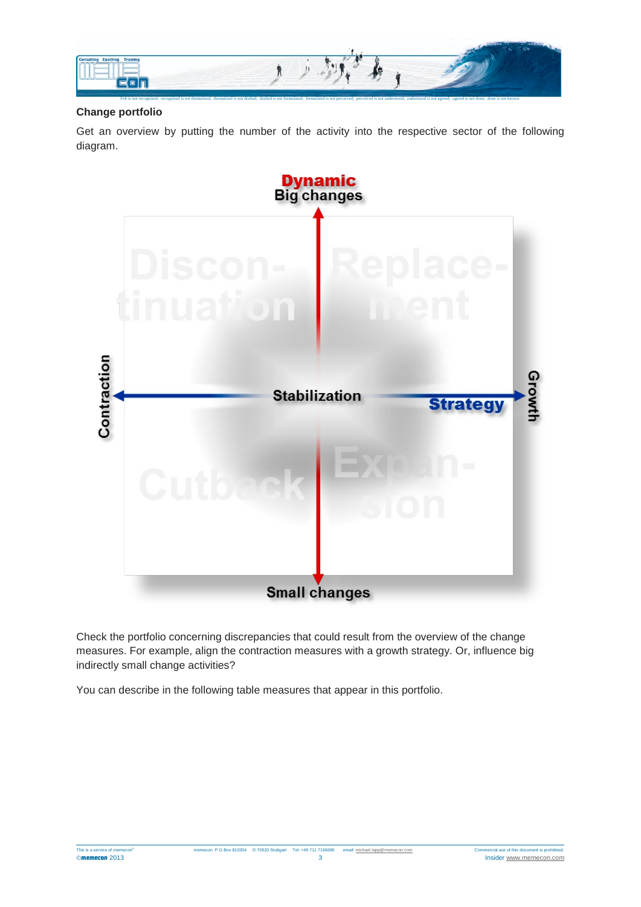

## **Change portfolio**

Get an overview by putting the number of the activity into the respective sector of the following diagram.



Check the portfolio concerning discrepancies that could result from the overview of the change measures. For example, align the contraction measures with a growth strategy. Or, influence big indirectly small change activities?

You can describe in the following table measures that appear in this portfolio.